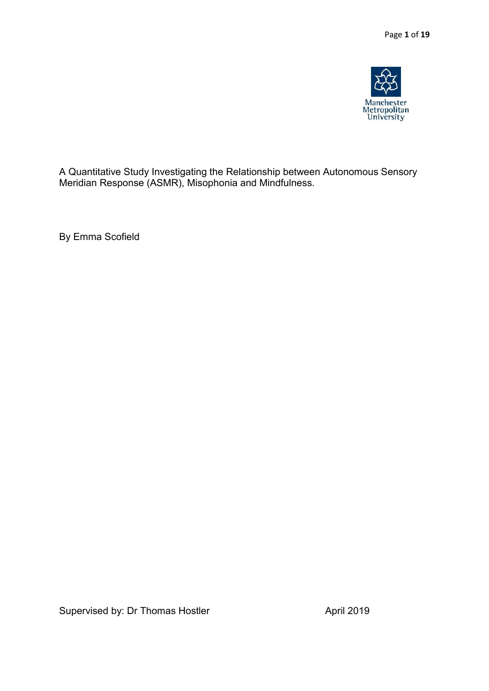

A Quantitative Study Investigating the Relationship between Autonomous Sensory Meridian Response (ASMR), Misophonia and Mindfulness.

By Emma Scofield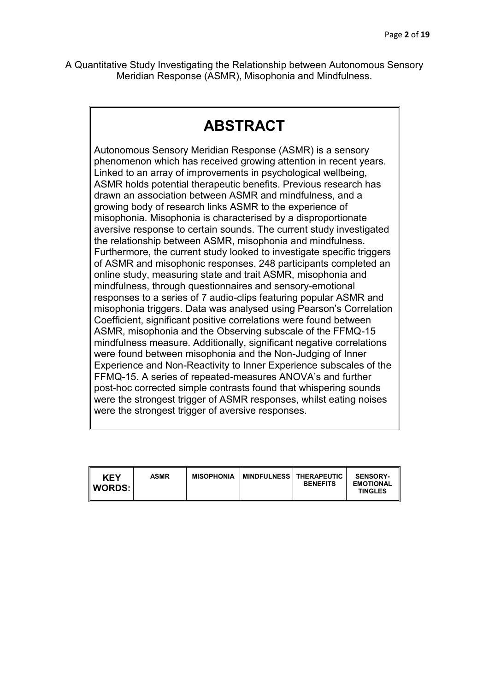A Quantitative Study Investigating the Relationship between Autonomous Sensory Meridian Response (ASMR), Misophonia and Mindfulness.

# **ABSTRACT**

Autonomous Sensory Meridian Response (ASMR) is a sensory phenomenon which has received growing attention in recent years. Linked to an array of improvements in psychological wellbeing, ASMR holds potential therapeutic benefits. Previous research has drawn an association between ASMR and mindfulness, and a growing body of research links ASMR to the experience of misophonia. Misophonia is characterised by a disproportionate aversive response to certain sounds. The current study investigated the relationship between ASMR, misophonia and mindfulness. Furthermore, the current study looked to investigate specific triggers of ASMR and misophonic responses. 248 participants completed an online study, measuring state and trait ASMR, misophonia and mindfulness, through questionnaires and sensory-emotional responses to a series of 7 audio-clips featuring popular ASMR and misophonia triggers. Data was analysed using Pearson's Correlation Coefficient, significant positive correlations were found between ASMR, misophonia and the Observing subscale of the FFMQ-15 mindfulness measure. Additionally, significant negative correlations were found between misophonia and the Non-Judging of Inner Experience and Non-Reactivity to Inner Experience subscales of the FFMQ-15. A series of repeated-measures ANOVA's and further post-hoc corrected simple contrasts found that whispering sounds were the strongest trigger of ASMR responses, whilst eating noises were the strongest trigger of aversive responses.

| <b>KEY</b><br><b>I</b> WORDS: I | <b>ASMR</b> | <b>MISOPHONIA</b> | <b>MINDFULNESS   THERAPEUTIC</b> | <b>BENEFITS</b> | <b>SENSORY-</b><br><b>EMOTIONAL</b><br><b>TINGLES</b> |
|---------------------------------|-------------|-------------------|----------------------------------|-----------------|-------------------------------------------------------|
|---------------------------------|-------------|-------------------|----------------------------------|-----------------|-------------------------------------------------------|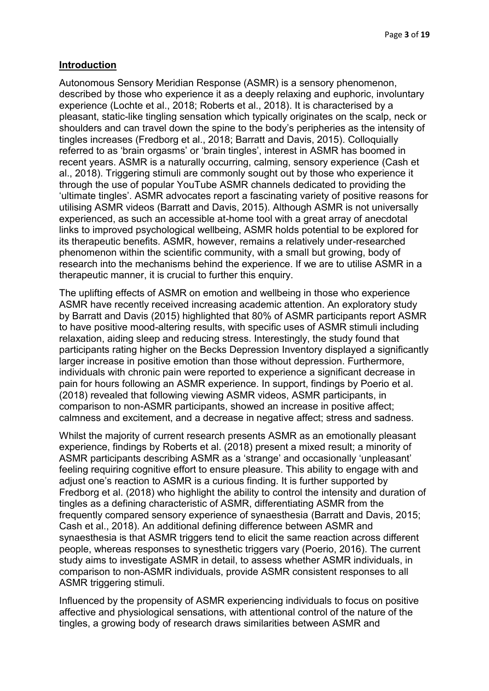#### **Introduction**

Autonomous Sensory Meridian Response (ASMR) is a sensory phenomenon, described by those who experience it as a deeply relaxing and euphoric, involuntary experience (Lochte et al., 2018; Roberts et al., 2018). It is characterised by a pleasant, static-like tingling sensation which typically originates on the scalp, neck or shoulders and can travel down the spine to the body's peripheries as the intensity of tingles increases (Fredborg et al., 2018; Barratt and Davis, 2015). Colloquially referred to as 'brain orgasms' or 'brain tingles', interest in ASMR has boomed in recent years. ASMR is a naturally occurring, calming, sensory experience (Cash et al., 2018). Triggering stimuli are commonly sought out by those who experience it through the use of popular YouTube ASMR channels dedicated to providing the 'ultimate tingles'. ASMR advocates report a fascinating variety of positive reasons for utilising ASMR videos (Barratt and Davis, 2015). Although ASMR is not universally experienced, as such an accessible at-home tool with a great array of anecdotal links to improved psychological wellbeing, ASMR holds potential to be explored for its therapeutic benefits. ASMR, however, remains a relatively under-researched phenomenon within the scientific community, with a small but growing, body of research into the mechanisms behind the experience. If we are to utilise ASMR in a therapeutic manner, it is crucial to further this enquiry.

The uplifting effects of ASMR on emotion and wellbeing in those who experience ASMR have recently received increasing academic attention. An exploratory study by Barratt and Davis (2015) highlighted that 80% of ASMR participants report ASMR to have positive mood-altering results, with specific uses of ASMR stimuli including relaxation, aiding sleep and reducing stress. Interestingly, the study found that participants rating higher on the Becks Depression Inventory displayed a significantly larger increase in positive emotion than those without depression. Furthermore, individuals with chronic pain were reported to experience a significant decrease in pain for hours following an ASMR experience. In support, findings by Poerio et al. (2018) revealed that following viewing ASMR videos, ASMR participants, in comparison to non-ASMR participants, showed an increase in positive affect; calmness and excitement, and a decrease in negative affect; stress and sadness.

Whilst the majority of current research presents ASMR as an emotionally pleasant experience, findings by Roberts et al. (2018) present a mixed result; a minority of ASMR participants describing ASMR as a 'strange' and occasionally 'unpleasant' feeling requiring cognitive effort to ensure pleasure. This ability to engage with and adjust one's reaction to ASMR is a curious finding. It is further supported by Fredborg et al. (2018) who highlight the ability to control the intensity and duration of tingles as a defining characteristic of ASMR, differentiating ASMR from the frequently compared sensory experience of synaesthesia (Barratt and Davis, 2015; Cash et al., 2018). An additional defining difference between ASMR and synaesthesia is that ASMR triggers tend to elicit the same reaction across different people, whereas responses to synesthetic triggers vary (Poerio, 2016). The current study aims to investigate ASMR in detail, to assess whether ASMR individuals, in comparison to non-ASMR individuals, provide ASMR consistent responses to all ASMR triggering stimuli.

Influenced by the propensity of ASMR experiencing individuals to focus on positive affective and physiological sensations, with attentional control of the nature of the tingles, a growing body of research draws similarities between ASMR and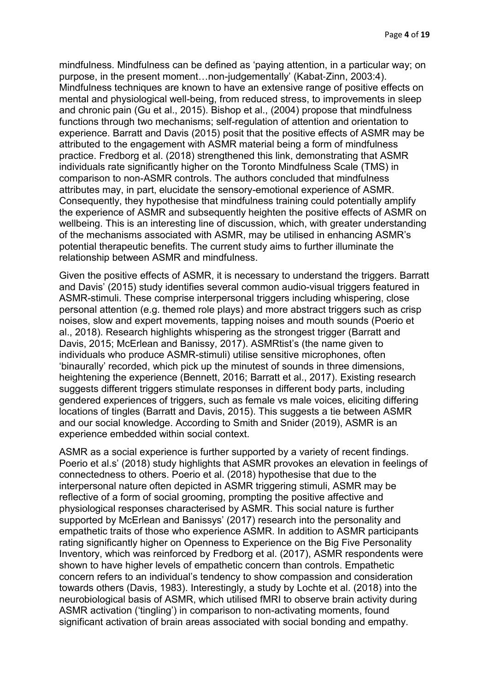mindfulness. Mindfulness can be defined as 'paying attention, in a particular way; on purpose, in the present moment…non-judgementally' (Kabat‐Zinn, 2003:4). Mindfulness techniques are known to have an extensive range of positive effects on mental and physiological well-being, from reduced stress, to improvements in sleep and chronic pain (Gu et al., 2015). Bishop et al., (2004) propose that mindfulness functions through two mechanisms; self-regulation of attention and orientation to experience. Barratt and Davis (2015) posit that the positive effects of ASMR may be attributed to the engagement with ASMR material being a form of mindfulness practice. Fredborg et al. (2018) strengthened this link, demonstrating that ASMR individuals rate significantly higher on the Toronto Mindfulness Scale (TMS) in comparison to non-ASMR controls. The authors concluded that mindfulness attributes may, in part, elucidate the sensory-emotional experience of ASMR. Consequently, they hypothesise that mindfulness training could potentially amplify the experience of ASMR and subsequently heighten the positive effects of ASMR on wellbeing. This is an interesting line of discussion, which, with greater understanding of the mechanisms associated with ASMR, may be utilised in enhancing ASMR's potential therapeutic benefits. The current study aims to further illuminate the relationship between ASMR and mindfulness.

Given the positive effects of ASMR, it is necessary to understand the triggers. Barratt and Davis' (2015) study identifies several common audio-visual triggers featured in ASMR-stimuli. These comprise interpersonal triggers including whispering, close personal attention (e.g. themed role plays) and more abstract triggers such as crisp noises, slow and expert movements, tapping noises and mouth sounds (Poerio et al., 2018). Research highlights whispering as the strongest trigger (Barratt and Davis, 2015; McErlean and Banissy, 2017). ASMRtist's (the name given to individuals who produce ASMR-stimuli) utilise sensitive microphones, often 'binaurally' recorded, which pick up the minutest of sounds in three dimensions, heightening the experience (Bennett, 2016; Barratt et al., 2017). Existing research suggests different triggers stimulate responses in different body parts, including gendered experiences of triggers, such as female vs male voices, eliciting differing locations of tingles (Barratt and Davis, 2015). This suggests a tie between ASMR and our social knowledge. According to Smith and Snider (2019), ASMR is an experience embedded within social context.

ASMR as a social experience is further supported by a variety of recent findings. Poerio et al.s' (2018) study highlights that ASMR provokes an elevation in feelings of connectedness to others. Poerio et al. (2018) hypothesise that due to the interpersonal nature often depicted in ASMR triggering stimuli, ASMR may be reflective of a form of social grooming, prompting the positive affective and physiological responses characterised by ASMR. This social nature is further supported by McErlean and Banissys' (2017) research into the personality and empathetic traits of those who experience ASMR. In addition to ASMR participants rating significantly higher on Openness to Experience on the Big Five Personality Inventory, which was reinforced by Fredborg et al. (2017), ASMR respondents were shown to have higher levels of empathetic concern than controls. Empathetic concern refers to an individual's tendency to show compassion and consideration towards others (Davis, 1983). Interestingly, a study by Lochte et al. (2018) into the neurobiological basis of ASMR, which utilised fMRI to observe brain activity during ASMR activation ('tingling') in comparison to non-activating moments, found significant activation of brain areas associated with social bonding and empathy.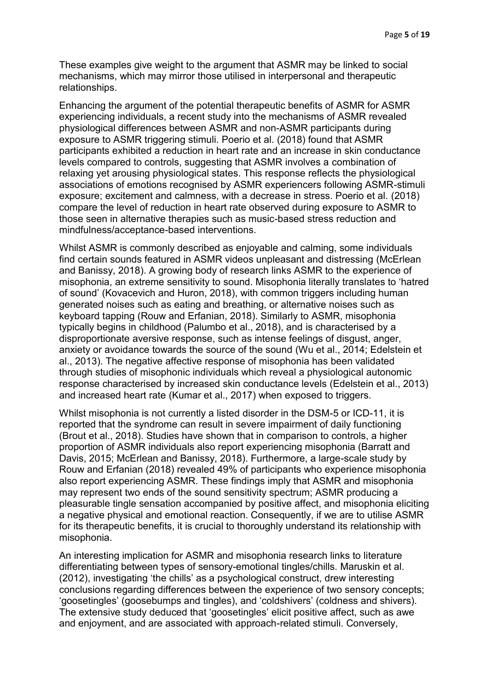These examples give weight to the argument that ASMR may be linked to social mechanisms, which may mirror those utilised in interpersonal and therapeutic relationships.

Enhancing the argument of the potential therapeutic benefits of ASMR for ASMR experiencing individuals, a recent study into the mechanisms of ASMR revealed physiological differences between ASMR and non-ASMR participants during exposure to ASMR triggering stimuli. Poerio et al. (2018) found that ASMR participants exhibited a reduction in heart rate and an increase in skin conductance levels compared to controls, suggesting that ASMR involves a combination of relaxing yet arousing physiological states. This response reflects the physiological associations of emotions recognised by ASMR experiencers following ASMR-stimuli exposure; excitement and calmness, with a decrease in stress. Poerio et al. (2018) compare the level of reduction in heart rate observed during exposure to ASMR to those seen in alternative therapies such as music-based stress reduction and mindfulness/acceptance-based interventions.

Whilst ASMR is commonly described as enjoyable and calming, some individuals find certain sounds featured in ASMR videos unpleasant and distressing (McErlean and Banissy, 2018). A growing body of research links ASMR to the experience of misophonia, an extreme sensitivity to sound. Misophonia literally translates to 'hatred of sound' (Kovacevich and Huron, 2018), with common triggers including human generated noises such as eating and breathing, or alternative noises such as keyboard tapping (Rouw and Erfanian, 2018). Similarly to ASMR, misophonia typically begins in childhood (Palumbo et al., 2018), and is characterised by a disproportionate aversive response, such as intense feelings of disgust, anger, anxiety or avoidance towards the source of the sound (Wu et al., 2014; Edelstein et al., 2013). The negative affective response of misophonia has been validated through studies of misophonic individuals which reveal a physiological autonomic response characterised by increased skin conductance levels (Edelstein et al., 2013) and increased heart rate (Kumar et al., 2017) when exposed to triggers.

Whilst misophonia is not currently a listed disorder in the DSM-5 or ICD-11, it is reported that the syndrome can result in severe impairment of daily functioning (Brout et al., 2018). Studies have shown that in comparison to controls, a higher proportion of ASMR individuals also report experiencing misophonia (Barratt and Davis, 2015; McErlean and Banissy, 2018). Furthermore, a large-scale study by Rouw and Erfanian (2018) revealed 49% of participants who experience misophonia also report experiencing ASMR. These findings imply that ASMR and misophonia may represent two ends of the sound sensitivity spectrum; ASMR producing a pleasurable tingle sensation accompanied by positive affect, and misophonia eliciting a negative physical and emotional reaction. Consequently, if we are to utilise ASMR for its therapeutic benefits, it is crucial to thoroughly understand its relationship with misophonia.

An interesting implication for ASMR and misophonia research links to literature differentiating between types of sensory-emotional tingles/chills. Maruskin et al. (2012), investigating 'the chills' as a psychological construct, drew interesting conclusions regarding differences between the experience of two sensory concepts; 'goosetingles' (goosebumps and tingles), and 'coldshivers' (coldness and shivers). The extensive study deduced that 'goosetingles' elicit positive affect, such as awe and enjoyment, and are associated with approach-related stimuli. Conversely,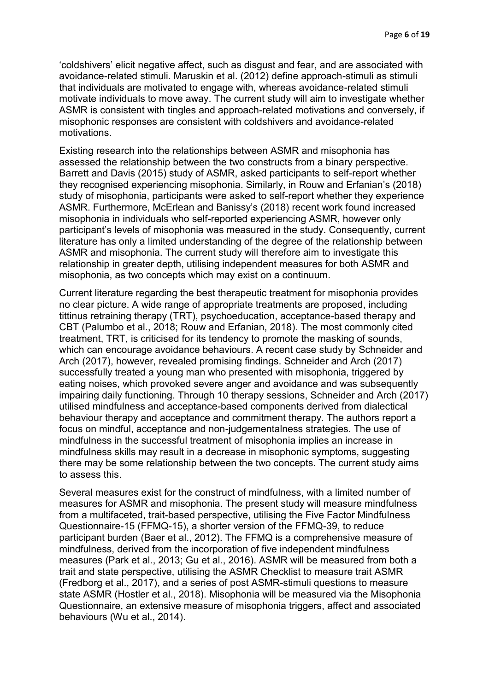'coldshivers' elicit negative affect, such as disgust and fear, and are associated with avoidance-related stimuli. Maruskin et al. (2012) define approach-stimuli as stimuli that individuals are motivated to engage with, whereas avoidance-related stimuli motivate individuals to move away. The current study will aim to investigate whether ASMR is consistent with tingles and approach-related motivations and conversely, if misophonic responses are consistent with coldshivers and avoidance-related motivations.

Existing research into the relationships between ASMR and misophonia has assessed the relationship between the two constructs from a binary perspective. Barrett and Davis (2015) study of ASMR, asked participants to self-report whether they recognised experiencing misophonia. Similarly, in Rouw and Erfanian's (2018) study of misophonia, participants were asked to self-report whether they experience ASMR. Furthermore, McErlean and Banissy's (2018) recent work found increased misophonia in individuals who self-reported experiencing ASMR, however only participant's levels of misophonia was measured in the study. Consequently, current literature has only a limited understanding of the degree of the relationship between ASMR and misophonia. The current study will therefore aim to investigate this relationship in greater depth, utilising independent measures for both ASMR and misophonia, as two concepts which may exist on a continuum.

Current literature regarding the best therapeutic treatment for misophonia provides no clear picture. A wide range of appropriate treatments are proposed, including tittinus retraining therapy (TRT), psychoeducation, acceptance-based therapy and CBT (Palumbo et al., 2018; Rouw and Erfanian, 2018). The most commonly cited treatment, TRT, is criticised for its tendency to promote the masking of sounds, which can encourage avoidance behaviours. A recent case study by Schneider and Arch (2017), however, revealed promising findings. Schneider and Arch (2017) successfully treated a young man who presented with misophonia, triggered by eating noises, which provoked severe anger and avoidance and was subsequently impairing daily functioning. Through 10 therapy sessions, Schneider and Arch (2017) utilised mindfulness and acceptance-based components derived from dialectical behaviour therapy and acceptance and commitment therapy. The authors report a focus on mindful, acceptance and non-judgementalness strategies. The use of mindfulness in the successful treatment of misophonia implies an increase in mindfulness skills may result in a decrease in misophonic symptoms, suggesting there may be some relationship between the two concepts. The current study aims to assess this.

Several measures exist for the construct of mindfulness, with a limited number of measures for ASMR and misophonia. The present study will measure mindfulness from a multifaceted, trait-based perspective, utilising the Five Factor Mindfulness Questionnaire-15 (FFMQ-15), a shorter version of the FFMQ-39, to reduce participant burden (Baer et al., 2012). The FFMQ is a comprehensive measure of mindfulness, derived from the incorporation of five independent mindfulness measures (Park et al., 2013; Gu et al., 2016). ASMR will be measured from both a trait and state perspective, utilising the ASMR Checklist to measure trait ASMR (Fredborg et al., 2017), and a series of post ASMR-stimuli questions to measure state ASMR (Hostler et al., 2018). Misophonia will be measured via the Misophonia Questionnaire, an extensive measure of misophonia triggers, affect and associated behaviours (Wu et al., 2014).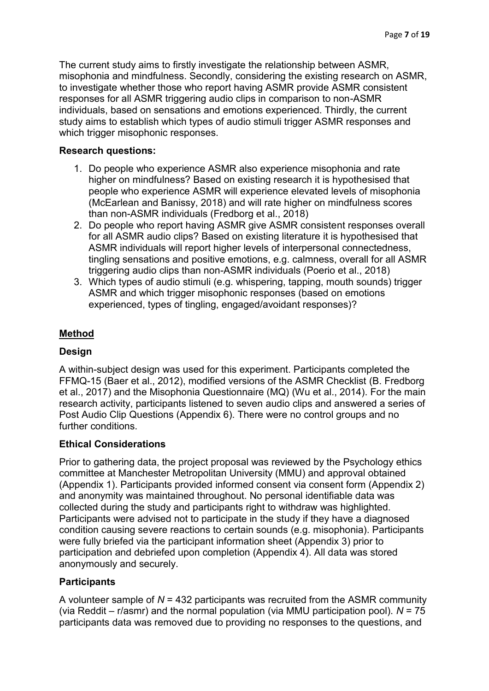The current study aims to firstly investigate the relationship between ASMR, misophonia and mindfulness. Secondly, considering the existing research on ASMR, to investigate whether those who report having ASMR provide ASMR consistent responses for all ASMR triggering audio clips in comparison to non-ASMR individuals, based on sensations and emotions experienced. Thirdly, the current study aims to establish which types of audio stimuli trigger ASMR responses and which trigger misophonic responses.

## **Research questions:**

- 1. Do people who experience ASMR also experience misophonia and rate higher on mindfulness? Based on existing research it is hypothesised that people who experience ASMR will experience elevated levels of misophonia (McEarlean and Banissy, 2018) and will rate higher on mindfulness scores than non-ASMR individuals (Fredborg et al., 2018)
- 2. Do people who report having ASMR give ASMR consistent responses overall for all ASMR audio clips? Based on existing literature it is hypothesised that ASMR individuals will report higher levels of interpersonal connectedness, tingling sensations and positive emotions, e.g. calmness, overall for all ASMR triggering audio clips than non-ASMR individuals (Poerio et al., 2018)
- 3. Which types of audio stimuli (e.g. whispering, tapping, mouth sounds) trigger ASMR and which trigger misophonic responses (based on emotions experienced, types of tingling, engaged/avoidant responses)?

# **Method**

## **Design**

A within-subject design was used for this experiment. Participants completed the FFMQ-15 (Baer et al., 2012), modified versions of the ASMR Checklist (B. Fredborg et al., 2017) and the Misophonia Questionnaire (MQ) (Wu et al., 2014). For the main research activity, participants listened to seven audio clips and answered a series of Post Audio Clip Questions (Appendix 6). There were no control groups and no further conditions.

## **Ethical Considerations**

Prior to gathering data, the project proposal was reviewed by the Psychology ethics committee at Manchester Metropolitan University (MMU) and approval obtained (Appendix 1). Participants provided informed consent via consent form (Appendix 2) and anonymity was maintained throughout. No personal identifiable data was collected during the study and participants right to withdraw was highlighted. Participants were advised not to participate in the study if they have a diagnosed condition causing severe reactions to certain sounds (e.g. misophonia). Participants were fully briefed via the participant information sheet (Appendix 3) prior to participation and debriefed upon completion (Appendix 4). All data was stored anonymously and securely.

# **Participants**

A volunteer sample of *N* = 432 participants was recruited from the ASMR community (via Reddit – r/asmr) and the normal population (via MMU participation pool). *N* = 75 participants data was removed due to providing no responses to the questions, and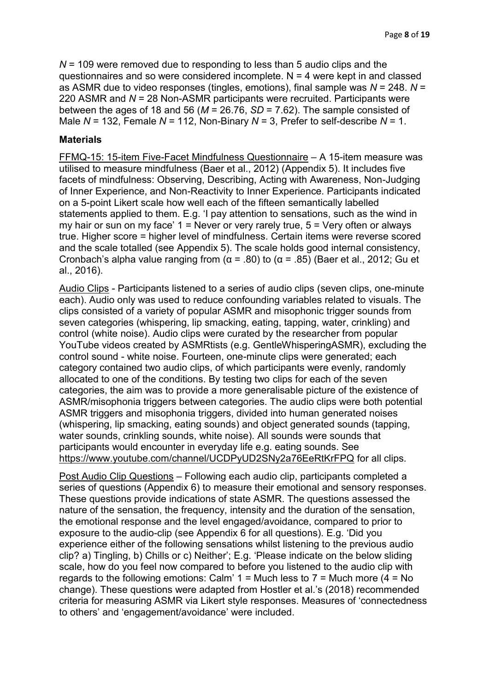*N* = 109 were removed due to responding to less than 5 audio clips and the questionnaires and so were considered incomplete.  $N = 4$  were kept in and classed as ASMR due to video responses (tingles, emotions), final sample was *N* = 248. *N* = 220 ASMR and *N* = 28 Non-ASMR participants were recruited. Participants were between the ages of 18 and 56 (*M* = 26.76, *SD* = 7.62). The sample consisted of Male *N* = 132, Female *N* = 112, Non-Binary *N* = 3, Prefer to self-describe *N* = 1.

#### **Materials**

FFMQ-15: 15-item Five-Facet Mindfulness Questionnaire – A 15-item measure was utilised to measure mindfulness (Baer et al., 2012) (Appendix 5). It includes five facets of mindfulness: Observing, Describing, Acting with Awareness, Non-Judging of Inner Experience, and Non-Reactivity to Inner Experience. Participants indicated on a 5-point Likert scale how well each of the fifteen semantically labelled statements applied to them. E.g. 'I pay attention to sensations, such as the wind in my hair or sun on my face'  $1 =$  Never or very rarely true,  $5 =$  Very often or always true. Higher score = higher level of mindfulness. Certain items were reverse scored and the scale totalled (see Appendix 5). The scale holds good internal consistency, Cronbach's alpha value ranging from (α = .80) to (α = .85) (Baer et al., 2012; Gu et al., 2016).

Audio Clips - Participants listened to a series of audio clips (seven clips, one-minute each). Audio only was used to reduce confounding variables related to visuals. The clips consisted of a variety of popular ASMR and misophonic trigger sounds from seven categories (whispering, lip smacking, eating, tapping, water, crinkling) and control (white noise). Audio clips were curated by the researcher from popular YouTube videos created by ASMRtists (e.g. GentleWhisperingASMR), excluding the control sound - white noise. Fourteen, one-minute clips were generated; each category contained two audio clips, of which participants were evenly, randomly allocated to one of the conditions. By testing two clips for each of the seven categories, the aim was to provide a more generalisable picture of the existence of ASMR/misophonia triggers between categories. The audio clips were both potential ASMR triggers and misophonia triggers, divided into human generated noises (whispering, lip smacking, eating sounds) and object generated sounds (tapping, water sounds, crinkling sounds, white noise). All sounds were sounds that participants would encounter in everyday life e.g. eating sounds. See <https://www.youtube.com/channel/UCDPyUD2SNy2a76EeRtKrFPQ> for all clips.

Post Audio Clip Questions – Following each audio clip, participants completed a series of questions (Appendix 6) to measure their emotional and sensory responses. These questions provide indications of state ASMR. The questions assessed the nature of the sensation, the frequency, intensity and the duration of the sensation, the emotional response and the level engaged/avoidance, compared to prior to exposure to the audio-clip (see Appendix 6 for all questions). E.g. 'Did you experience either of the following sensations whilst listening to the previous audio clip? a) Tingling, b) Chills or c) Neither'; E.g. 'Please indicate on the below sliding scale, how do you feel now compared to before you listened to the audio clip with regards to the following emotions: Calm'  $1 =$  Much less to  $7 =$  Much more ( $4 =$  No change). These questions were adapted from Hostler et al.'s (2018) recommended criteria for measuring ASMR via Likert style responses. Measures of 'connectedness to others' and 'engagement/avoidance' were included.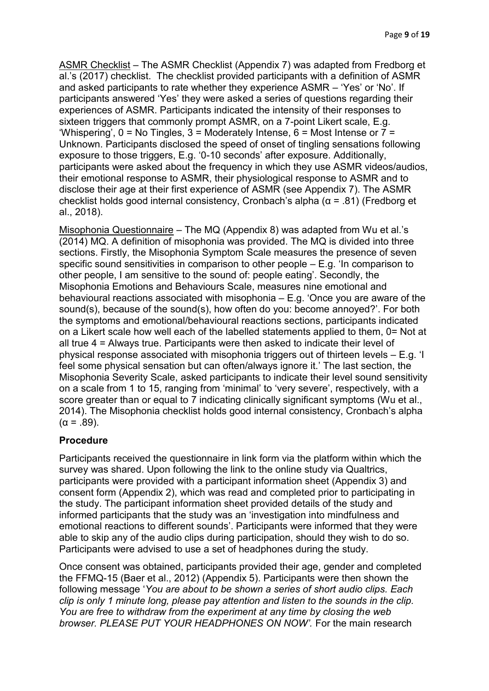ASMR Checklist – The ASMR Checklist (Appendix 7) was adapted from Fredborg et al.'s (2017) checklist. The checklist provided participants with a definition of ASMR and asked participants to rate whether they experience ASMR – 'Yes' or 'No'. If participants answered 'Yes' they were asked a series of questions regarding their experiences of ASMR. Participants indicated the intensity of their responses to sixteen triggers that commonly prompt ASMR, on a 7-point Likert scale, E.g. 'Whispering',  $0 = No$  Tingles,  $3 = Model$  Moderately Intense,  $6 = Model$  Intense or  $7 =$ Unknown. Participants disclosed the speed of onset of tingling sensations following exposure to those triggers, E.g. '0-10 seconds' after exposure. Additionally, participants were asked about the frequency in which they use ASMR videos/audios, their emotional response to ASMR, their physiological response to ASMR and to disclose their age at their first experience of ASMR (see Appendix 7). The ASMR checklist holds good internal consistency, Cronbach's alpha (α = .81) (Fredborg et al., 2018).

Misophonia Questionnaire – The MQ (Appendix 8) was adapted from Wu et al.'s (2014) MQ. A definition of misophonia was provided. The MQ is divided into three sections. Firstly, the Misophonia Symptom Scale measures the presence of seven specific sound sensitivities in comparison to other people  $- E.g.$  'In comparison to other people, I am sensitive to the sound of: people eating'. Secondly, the Misophonia Emotions and Behaviours Scale, measures nine emotional and behavioural reactions associated with misophonia – E.g. 'Once you are aware of the sound(s), because of the sound(s), how often do you: become annoyed?'. For both the symptoms and emotional/behavioural reactions sections, participants indicated on a Likert scale how well each of the labelled statements applied to them, 0= Not at all true 4 = Always true. Participants were then asked to indicate their level of physical response associated with misophonia triggers out of thirteen levels – E.g. 'I feel some physical sensation but can often/always ignore it.' The last section, the Misophonia Severity Scale, asked participants to indicate their level sound sensitivity on a scale from 1 to 15, ranging from 'minimal' to 'very severe', respectively, with a score greater than or equal to 7 indicating clinically significant symptoms (Wu et al., 2014). The Misophonia checklist holds good internal consistency, Cronbach's alpha  $(α = .89)$ .

## **Procedure**

Participants received the questionnaire in link form via the platform within which the survey was shared. Upon following the link to the online study via Qualtrics, participants were provided with a participant information sheet (Appendix 3) and consent form (Appendix 2), which was read and completed prior to participating in the study. The participant information sheet provided details of the study and informed participants that the study was an 'investigation into mindfulness and emotional reactions to different sounds'. Participants were informed that they were able to skip any of the audio clips during participation, should they wish to do so. Participants were advised to use a set of headphones during the study.

Once consent was obtained, participants provided their age, gender and completed the FFMQ-15 (Baer et al., 2012) (Appendix 5). Participants were then shown the following message '*You are about to be shown a series of short audio clips. Each clip is only 1 minute long, please pay attention and listen to the sounds in the clip. You are free to withdraw from the experiment at any time by closing the web browser. PLEASE PUT YOUR HEADPHONES ON NOW'.* For the main research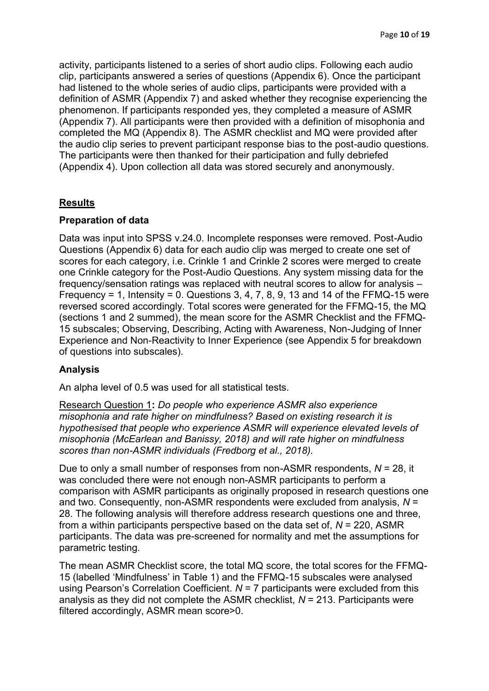activity, participants listened to a series of short audio clips. Following each audio clip, participants answered a series of questions (Appendix 6). Once the participant had listened to the whole series of audio clips, participants were provided with a definition of ASMR (Appendix 7) and asked whether they recognise experiencing the phenomenon. If participants responded yes, they completed a measure of ASMR (Appendix 7). All participants were then provided with a definition of misophonia and completed the MQ (Appendix 8). The ASMR checklist and MQ were provided after the audio clip series to prevent participant response bias to the post-audio questions. The participants were then thanked for their participation and fully debriefed (Appendix 4). Upon collection all data was stored securely and anonymously.

## **Results**

## **Preparation of data**

Data was input into SPSS v.24.0. Incomplete responses were removed. Post-Audio Questions (Appendix 6) data for each audio clip was merged to create one set of scores for each category, i.e. Crinkle 1 and Crinkle 2 scores were merged to create one Crinkle category for the Post-Audio Questions. Any system missing data for the frequency/sensation ratings was replaced with neutral scores to allow for analysis – Frequency = 1, Intensity = 0. Questions 3, 4, 7, 8, 9, 13 and 14 of the FFMQ-15 were reversed scored accordingly. Total scores were generated for the FFMQ-15, the MQ (sections 1 and 2 summed), the mean score for the ASMR Checklist and the FFMQ-15 subscales; Observing, Describing, Acting with Awareness, Non-Judging of Inner Experience and Non-Reactivity to Inner Experience (see Appendix 5 for breakdown of questions into subscales).

# **Analysis**

An alpha level of 0.5 was used for all statistical tests.

Research Question 1**:** *Do people who experience ASMR also experience misophonia and rate higher on mindfulness? Based on existing research it is hypothesised that people who experience ASMR will experience elevated levels of misophonia (McEarlean and Banissy, 2018) and will rate higher on mindfulness scores than non-ASMR individuals (Fredborg et al., 2018).*

Due to only a small number of responses from non-ASMR respondents, *N* = 28, it was concluded there were not enough non-ASMR participants to perform a comparison with ASMR participants as originally proposed in research questions one and two. Consequently, non-ASMR respondents were excluded from analysis, *N* = 28. The following analysis will therefore address research questions one and three, from a within participants perspective based on the data set of, *N* = 220, ASMR participants. The data was pre-screened for normality and met the assumptions for parametric testing.

The mean ASMR Checklist score, the total MQ score, the total scores for the FFMQ-15 (labelled 'Mindfulness' in Table 1) and the FFMQ-15 subscales were analysed using Pearson's Correlation Coefficient. *N* = 7 participants were excluded from this analysis as they did not complete the ASMR checklist, *N* = 213. Participants were filtered accordingly, ASMR mean score>0.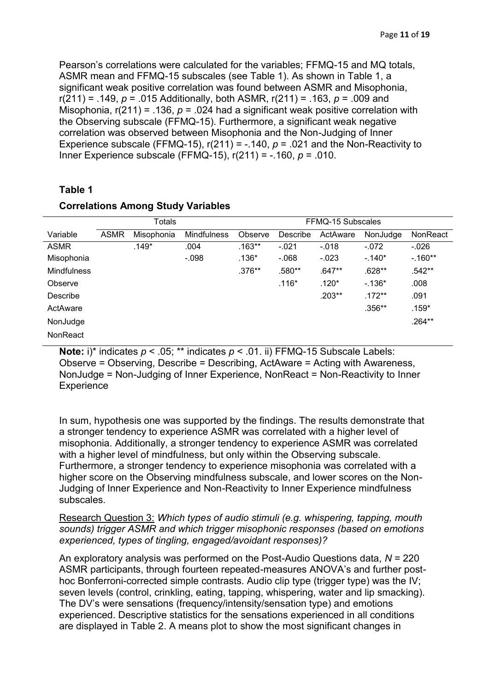Pearson's correlations were calculated for the variables; FFMQ-15 and MQ totals, ASMR mean and FFMQ-15 subscales (see Table 1). As shown in Table 1, a significant weak positive correlation was found between ASMR and Misophonia, r(211) = .149, *p* = .015 Additionally, both ASMR, r(211) = .163, *p* = .009 and Misophonia, r(211) = .136, *p* = .024 had a significant weak positive correlation with the Observing subscale (FFMQ-15). Furthermore, a significant weak negative correlation was observed between Misophonia and the Non-Judging of Inner Experience subscale (FFMQ-15),  $r(211) = -0.140$ ,  $p = 0.021$  and the Non-Reactivity to Inner Experience subscale (FFMQ-15), r(211) = -.160, *p* = .010.

#### **Table 1**

|                    | Totals      |            |                    | FFMQ-15 Subscales |          |          |          |           |
|--------------------|-------------|------------|--------------------|-------------------|----------|----------|----------|-----------|
| Variable           | <b>ASMR</b> | Misophonia | <b>Mindfulness</b> | Observe           | Describe | ActAware | NonJudge | NonReact  |
| <b>ASMR</b>        |             | .149*      | .004               | $.163**$          | $-.021$  | $-.018$  | $-.072$  | $-0.026$  |
| Misophonia         |             |            | $-.098$            | $.136*$           | $-068$   | $-.023$  | $-.140*$ | $-160**$  |
| <b>Mindfulness</b> |             |            |                    | $.376**$          | .580**   | $.647**$ | $.628**$ | $.542**$  |
| Observe            |             |            |                    |                   | $.116*$  | $.120*$  | $-.136*$ | .008      |
| <b>Describe</b>    |             |            |                    |                   |          | $.203**$ | $.172**$ | .091      |
| ActAware           |             |            |                    |                   |          |          | $.356**$ | $.159*$   |
| NonJudge           |             |            |                    |                   |          |          |          | $.264***$ |
| NonReact           |             |            |                    |                   |          |          |          |           |

## **Correlations Among Study Variables**

**Note:** i)\* indicates *p* < .05; \*\* indicates *p* < .01. ii) FFMQ-15 Subscale Labels: Observe = Observing, Describe = Describing, ActAware = Acting with Awareness, NonJudge = Non-Judging of Inner Experience, NonReact = Non-Reactivity to Inner **Experience** 

In sum, hypothesis one was supported by the findings. The results demonstrate that a stronger tendency to experience ASMR was correlated with a higher level of misophonia. Additionally, a stronger tendency to experience ASMR was correlated with a higher level of mindfulness, but only within the Observing subscale. Furthermore, a stronger tendency to experience misophonia was correlated with a higher score on the Observing mindfulness subscale, and lower scores on the Non-Judging of Inner Experience and Non-Reactivity to Inner Experience mindfulness subscales.

Research Question 3: *Which types of audio stimuli (e.g. whispering, tapping, mouth sounds) trigger ASMR and which trigger misophonic responses (based on emotions experienced, types of tingling, engaged/avoidant responses)?*

An exploratory analysis was performed on the Post-Audio Questions data, *N* = 220 ASMR participants, through fourteen repeated-measures ANOVA's and further posthoc Bonferroni-corrected simple contrasts. Audio clip type (trigger type) was the IV; seven levels (control, crinkling, eating, tapping, whispering, water and lip smacking). The DV's were sensations (frequency/intensity/sensation type) and emotions experienced. Descriptive statistics for the sensations experienced in all conditions are displayed in Table 2. A means plot to show the most significant changes in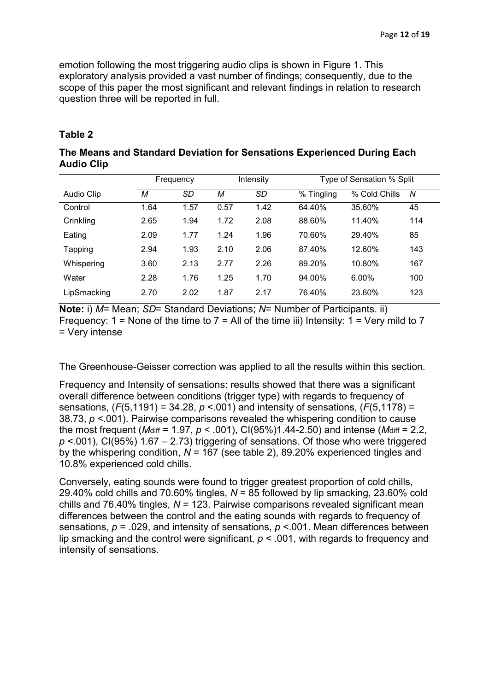emotion following the most triggering audio clips is shown in Figure 1. This exploratory analysis provided a vast number of findings; consequently, due to the scope of this paper the most significant and relevant findings in relation to research question three will be reported in full.

#### **Table 2**

## **The Means and Standard Deviation for Sensations Experienced During Each Audio Clip**

|             | Frequency |      |      | Intensity |            | Type of Sensation % Split |     |  |
|-------------|-----------|------|------|-----------|------------|---------------------------|-----|--|
| Audio Clip  | М         | SD   | М    | SD        | % Tingling | % Cold Chills             | N   |  |
| Control     | 1.64      | 1.57 | 0.57 | 1.42      | 64.40%     | 35.60%                    | 45  |  |
| Crinkling   | 2.65      | 1.94 | 1.72 | 2.08      | 88.60%     | 11.40%                    | 114 |  |
| Eating      | 2.09      | 1.77 | 1.24 | 1.96      | 70.60%     | 29.40%                    | 85  |  |
| Tapping     | 2.94      | 1.93 | 2.10 | 2.06      | 87.40%     | 12.60%                    | 143 |  |
| Whispering  | 3.60      | 2.13 | 2.77 | 2.26      | 89.20%     | 10.80%                    | 167 |  |
| Water       | 2.28      | 1.76 | 1.25 | 1.70      | 94.00%     | $6.00\%$                  | 100 |  |
| LipSmacking | 2.70      | 2.02 | 1.87 | 2.17      | 76.40%     | 23.60%                    | 123 |  |

**Note:** i) *M*= Mean; *SD*= Standard Deviations; *N*= Number of Participants. ii) Frequency:  $1 =$  None of the time to  $7 =$  All of the time iii) Intensity:  $1 =$  Very mild to  $7$ = Very intense

The Greenhouse-Geisser correction was applied to all the results within this section.

Frequency and Intensity of sensations: results showed that there was a significant overall difference between conditions (trigger type) with regards to frequency of sensations, (*F*(5,1191) = 34.28, *p* <.001) and intensity of sensations, (*F*(5,1178) = 38.73, *p* <.001). Pairwise comparisons revealed the whispering condition to cause the most frequent (*M*diff = 1.97, *p* < .001), CI(95%)1.44-2.50) and intense (*M*diff = 2.2, *p* <.001), CI(95%) 1.67 – 2.73) triggering of sensations. Of those who were triggered by the whispering condition, *N* = 167 (see table 2), 89.20% experienced tingles and 10.8% experienced cold chills.

Conversely, eating sounds were found to trigger greatest proportion of cold chills, 29.40% cold chills and 70.60% tingles, *N* = 85 followed by lip smacking, 23.60% cold chills and 76.40% tingles, *N* = 123. Pairwise comparisons revealed significant mean differences between the control and the eating sounds with regards to frequency of sensations, *p* = .029, and intensity of sensations, *p* <.001. Mean differences between lip smacking and the control were significant, *p* < .001, with regards to frequency and intensity of sensations.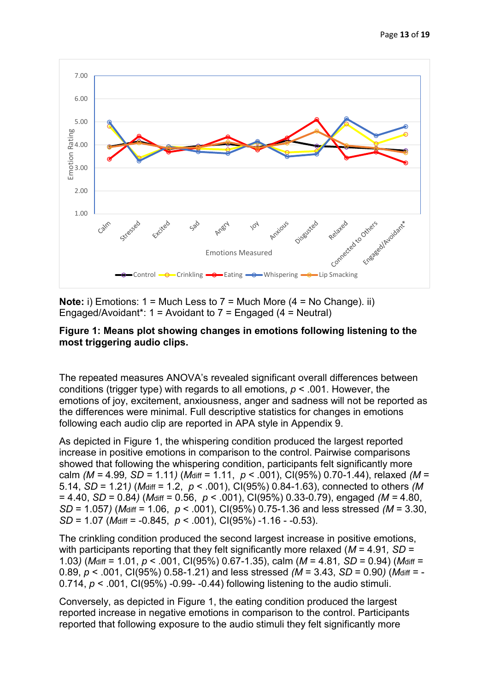

**Note:** i) Emotions: 1 = Much Less to 7 = Much More (4 = No Change). ii) Engaged/Avoidant\*: 1 = Avoidant to 7 = Engaged (4 = Neutral)

## **Figure 1: Means plot showing changes in emotions following listening to the most triggering audio clips.**

The repeated measures ANOVA's revealed significant overall differences between conditions (trigger type) with regards to all emotions, *p* < .001. However, the emotions of joy, excitement, anxiousness, anger and sadness will not be reported as the differences were minimal. Full descriptive statistics for changes in emotions following each audio clip are reported in APA style in Appendix 9.

As depicted in Figure 1, the whispering condition produced the largest reported increase in positive emotions in comparison to the control. Pairwise comparisons showed that following the whispering condition, participants felt significantly more calm *(M =* 4.99*, SD =* 1.11*)* (*M*diff = 1.11, *p* < .001), CI(95%) 0.70-1.44), relaxed *(M* = 5.14, *SD* = 1.21*)* (*M*diff = 1.2, *p* < .001), CI(95%) 0.84-1.63), connected to others *(M*  = 4.40, *SD* = 0.84*)* (*M*diff = 0.56, *p* < .001), CI(95%) 0.33-0.79), engaged *(M =* 4.80, *SD* = 1.057*)* (*M*diff = 1.06, *p* < .001), CI(95%) 0.75-1.36 and less stressed *(M* = 3.30, *SD* = 1.07 (*M*diff = -0.845, *p* < .001), CI(95%) -1.16 - -0.53).

The crinkling condition produced the second largest increase in positive emotions, with participants reporting that they felt significantly more relaxed (*M* = 4.91*, SD* = 1.03*)* (*M*diff = 1.01, *p* < .001, CI(95%) 0.67-1.35), calm (*M* = 4.81*, SD* = 0.94) (*M*diff = 0.89, *p* < .001, CI(95%) 0.58-1.21) and less stressed *(M* = 3.43, *SD* = 0.90*)* (*M*diff = - 0.714, *p* < .001, CI(95%) -0.99- -0.44) following listening to the audio stimuli.

Conversely, as depicted in Figure 1, the eating condition produced the largest reported increase in negative emotions in comparison to the control. Participants reported that following exposure to the audio stimuli they felt significantly more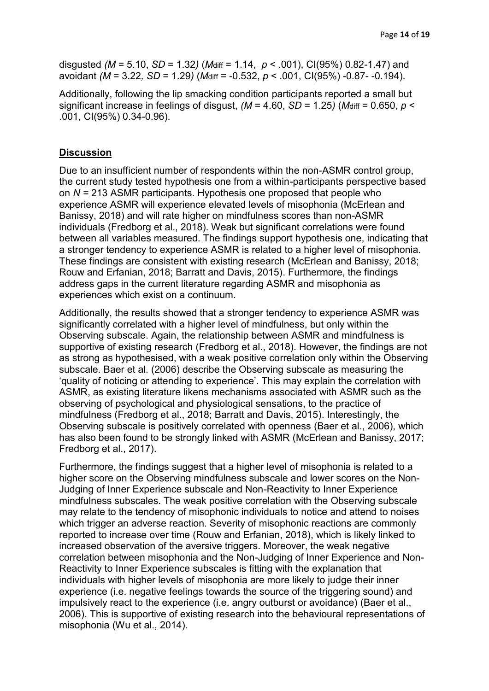disgusted *(M* = 5.10, *SD* = 1.32*)* (*M*diff = 1.14, *p* < .001), CI(95%) 0.82-1.47) and avoidant *(M* = 3.22*, SD* = 1.29*)* (*M*diff = -0.532, *p* < .001, CI(95%) -0.87- -0.194).

Additionally, following the lip smacking condition participants reported a small but significant increase in feelings of disgust,  $(M = 4.60, SD = 1.25)$  *(Maiff = 0.650, p < algorinal)* .001, CI(95%) 0.34-0.96).

#### **Discussion**

Due to an insufficient number of respondents within the non-ASMR control group, the current study tested hypothesis one from a within-participants perspective based on *N =* 213 ASMR participants. Hypothesis one proposed that people who experience ASMR will experience elevated levels of misophonia (McErlean and Banissy, 2018) and will rate higher on mindfulness scores than non-ASMR individuals (Fredborg et al., 2018). Weak but significant correlations were found between all variables measured. The findings support hypothesis one, indicating that a stronger tendency to experience ASMR is related to a higher level of misophonia. These findings are consistent with existing research (McErlean and Banissy, 2018; Rouw and Erfanian, 2018; Barratt and Davis, 2015). Furthermore, the findings address gaps in the current literature regarding ASMR and misophonia as experiences which exist on a continuum.

Additionally, the results showed that a stronger tendency to experience ASMR was significantly correlated with a higher level of mindfulness, but only within the Observing subscale. Again, the relationship between ASMR and mindfulness is supportive of existing research (Fredborg et al., 2018). However, the findings are not as strong as hypothesised, with a weak positive correlation only within the Observing subscale. Baer et al. (2006) describe the Observing subscale as measuring the 'quality of noticing or attending to experience'. This may explain the correlation with ASMR, as existing literature likens mechanisms associated with ASMR such as the observing of psychological and physiological sensations, to the practice of mindfulness (Fredborg et al., 2018; Barratt and Davis, 2015). Interestingly, the Observing subscale is positively correlated with openness (Baer et al., 2006), which has also been found to be strongly linked with ASMR (McErlean and Banissy, 2017; Fredborg et al., 2017).

Furthermore, the findings suggest that a higher level of misophonia is related to a higher score on the Observing mindfulness subscale and lower scores on the Non-Judging of Inner Experience subscale and Non-Reactivity to Inner Experience mindfulness subscales. The weak positive correlation with the Observing subscale may relate to the tendency of misophonic individuals to notice and attend to noises which trigger an adverse reaction. Severity of misophonic reactions are commonly reported to increase over time (Rouw and Erfanian, 2018), which is likely linked to increased observation of the aversive triggers. Moreover, the weak negative correlation between misophonia and the Non-Judging of Inner Experience and Non-Reactivity to Inner Experience subscales is fitting with the explanation that individuals with higher levels of misophonia are more likely to judge their inner experience (i.e. negative feelings towards the source of the triggering sound) and impulsively react to the experience (i.e. angry outburst or avoidance) (Baer et al., 2006). This is supportive of existing research into the behavioural representations of misophonia (Wu et al., 2014).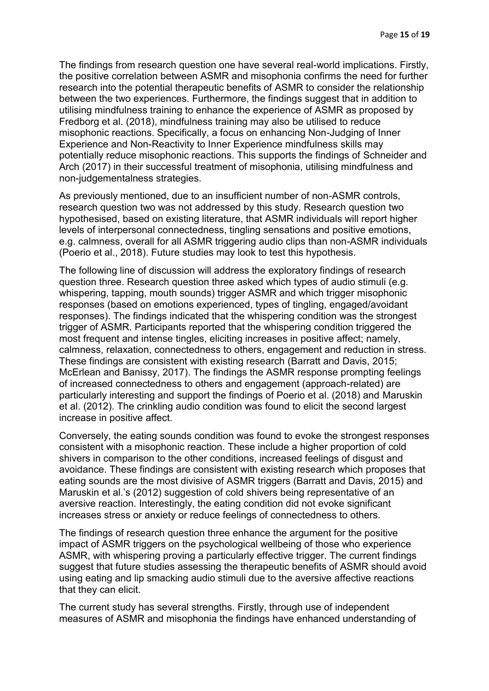The findings from research question one have several real-world implications. Firstly, the positive correlation between ASMR and misophonia confirms the need for further research into the potential therapeutic benefits of ASMR to consider the relationship between the two experiences. Furthermore, the findings suggest that in addition to utilising mindfulness training to enhance the experience of ASMR as proposed by Fredborg et al. (2018), mindfulness training may also be utilised to reduce misophonic reactions. Specifically, a focus on enhancing Non-Judging of Inner Experience and Non-Reactivity to Inner Experience mindfulness skills may potentially reduce misophonic reactions. This supports the findings of Schneider and Arch (2017) in their successful treatment of misophonia, utilising mindfulness and non-judgementalness strategies.

As previously mentioned, due to an insufficient number of non-ASMR controls, research question two was not addressed by this study. Research question two hypothesised, based on existing literature, that ASMR individuals will report higher levels of interpersonal connectedness, tingling sensations and positive emotions, e.g. calmness, overall for all ASMR triggering audio clips than non-ASMR individuals (Poerio et al., 2018). Future studies may look to test this hypothesis.

The following line of discussion will address the exploratory findings of research question three. Research question three asked which types of audio stimuli (e.g. whispering, tapping, mouth sounds) trigger ASMR and which trigger misophonic responses (based on emotions experienced, types of tingling, engaged/avoidant responses). The findings indicated that the whispering condition was the strongest trigger of ASMR. Participants reported that the whispering condition triggered the most frequent and intense tingles, eliciting increases in positive affect; namely, calmness, relaxation, connectedness to others, engagement and reduction in stress. These findings are consistent with existing research (Barratt and Davis, 2015; McErlean and Banissy, 2017). The findings the ASMR response prompting feelings of increased connectedness to others and engagement (approach-related) are particularly interesting and support the findings of Poerio et al. (2018) and Maruskin et al. (2012). The crinkling audio condition was found to elicit the second largest increase in positive affect.

Conversely, the eating sounds condition was found to evoke the strongest responses consistent with a misophonic reaction. These include a higher proportion of cold shivers in comparison to the other conditions, increased feelings of disgust and avoidance. These findings are consistent with existing research which proposes that eating sounds are the most divisive of ASMR triggers (Barratt and Davis, 2015) and Maruskin et al.'s (2012) suggestion of cold shivers being representative of an aversive reaction. Interestingly, the eating condition did not evoke significant increases stress or anxiety or reduce feelings of connectedness to others.

The findings of research question three enhance the argument for the positive impact of ASMR triggers on the psychological wellbeing of those who experience ASMR, with whispering proving a particularly effective trigger. The current findings suggest that future studies assessing the therapeutic benefits of ASMR should avoid using eating and lip smacking audio stimuli due to the aversive affective reactions that they can elicit.

The current study has several strengths. Firstly, through use of independent measures of ASMR and misophonia the findings have enhanced understanding of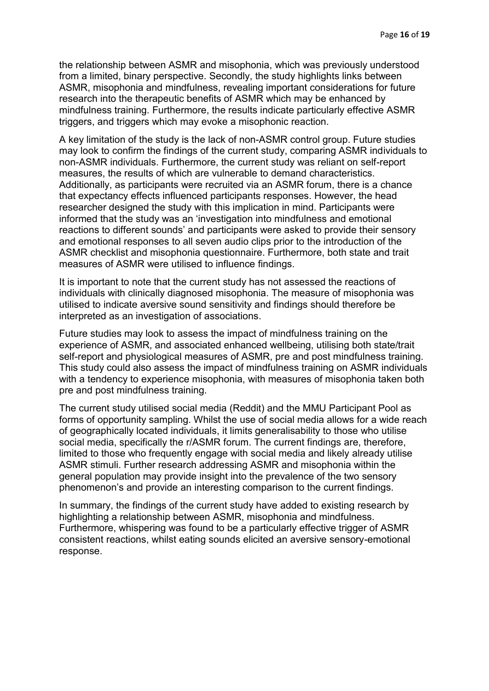the relationship between ASMR and misophonia, which was previously understood from a limited, binary perspective. Secondly, the study highlights links between ASMR, misophonia and mindfulness, revealing important considerations for future research into the therapeutic benefits of ASMR which may be enhanced by mindfulness training. Furthermore, the results indicate particularly effective ASMR triggers, and triggers which may evoke a misophonic reaction.

A key limitation of the study is the lack of non-ASMR control group. Future studies may look to confirm the findings of the current study, comparing ASMR individuals to non-ASMR individuals. Furthermore, the current study was reliant on self-report measures, the results of which are vulnerable to demand characteristics. Additionally, as participants were recruited via an ASMR forum, there is a chance that expectancy effects influenced participants responses. However, the head researcher designed the study with this implication in mind. Participants were informed that the study was an 'investigation into mindfulness and emotional reactions to different sounds' and participants were asked to provide their sensory and emotional responses to all seven audio clips prior to the introduction of the ASMR checklist and misophonia questionnaire. Furthermore, both state and trait measures of ASMR were utilised to influence findings.

It is important to note that the current study has not assessed the reactions of individuals with clinically diagnosed misophonia. The measure of misophonia was utilised to indicate aversive sound sensitivity and findings should therefore be interpreted as an investigation of associations.

Future studies may look to assess the impact of mindfulness training on the experience of ASMR, and associated enhanced wellbeing, utilising both state/trait self-report and physiological measures of ASMR, pre and post mindfulness training. This study could also assess the impact of mindfulness training on ASMR individuals with a tendency to experience misophonia, with measures of misophonia taken both pre and post mindfulness training.

The current study utilised social media (Reddit) and the MMU Participant Pool as forms of opportunity sampling. Whilst the use of social media allows for a wide reach of geographically located individuals, it limits generalisability to those who utilise social media, specifically the r/ASMR forum. The current findings are, therefore, limited to those who frequently engage with social media and likely already utilise ASMR stimuli. Further research addressing ASMR and misophonia within the general population may provide insight into the prevalence of the two sensory phenomenon's and provide an interesting comparison to the current findings.

In summary, the findings of the current study have added to existing research by highlighting a relationship between ASMR, misophonia and mindfulness. Furthermore, whispering was found to be a particularly effective trigger of ASMR consistent reactions, whilst eating sounds elicited an aversive sensory-emotional response.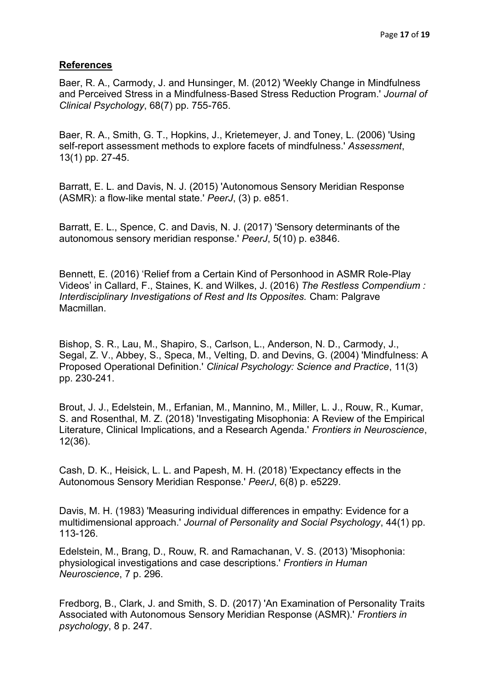## **References**

Baer, R. A., Carmody, J. and Hunsinger, M. (2012) 'Weekly Change in Mindfulness and Perceived Stress in a Mindfulness‐Based Stress Reduction Program.' *Journal of Clinical Psychology*, 68(7) pp. 755-765.

Baer, R. A., Smith, G. T., Hopkins, J., Krietemeyer, J. and Toney, L. (2006) 'Using self-report assessment methods to explore facets of mindfulness.' *Assessment*, 13(1) pp. 27-45.

Barratt, E. L. and Davis, N. J. (2015) 'Autonomous Sensory Meridian Response (ASMR): a flow-like mental state.' *PeerJ*, (3) p. e851.

Barratt, E. L., Spence, C. and Davis, N. J. (2017) 'Sensory determinants of the autonomous sensory meridian response.' *PeerJ*, 5(10) p. e3846.

Bennett, E. (2016) 'Relief from a Certain Kind of Personhood in ASMR Role-Play Videos' in Callard, F., Staines, K. and Wilkes, J. (2016) *The Restless Compendium : Interdisciplinary Investigations of Rest and Its Opposites.* Cham: Palgrave Macmillan.

Bishop, S. R., Lau, M., Shapiro, S., Carlson, L., Anderson, N. D., Carmody, J., Segal, Z. V., Abbey, S., Speca, M., Velting, D. and Devins, G. (2004) 'Mindfulness: A Proposed Operational Definition.' *Clinical Psychology: Science and Practice*, 11(3) pp. 230-241.

Brout, J. J., Edelstein, M., Erfanian, M., Mannino, M., Miller, L. J., Rouw, R., Kumar, S. and Rosenthal, M. Z. (2018) 'Investigating Misophonia: A Review of the Empirical Literature, Clinical Implications, and a Research Agenda.' *Frontiers in Neuroscience*, 12(36).

Cash, D. K., Heisick, L. L. and Papesh, M. H. (2018) 'Expectancy effects in the Autonomous Sensory Meridian Response.' *PeerJ*, 6(8) p. e5229.

Davis, M. H. (1983) 'Measuring individual differences in empathy: Evidence for a multidimensional approach.' *Journal of Personality and Social Psychology*, 44(1) pp. 113-126.

Edelstein, M., Brang, D., Rouw, R. and Ramachanan, V. S. (2013) 'Misophonia: physiological investigations and case descriptions.' *Frontiers in Human Neuroscience*, 7 p. 296.

Fredborg, B., Clark, J. and Smith, S. D. (2017) 'An Examination of Personality Traits Associated with Autonomous Sensory Meridian Response (ASMR).' *Frontiers in psychology*, 8 p. 247.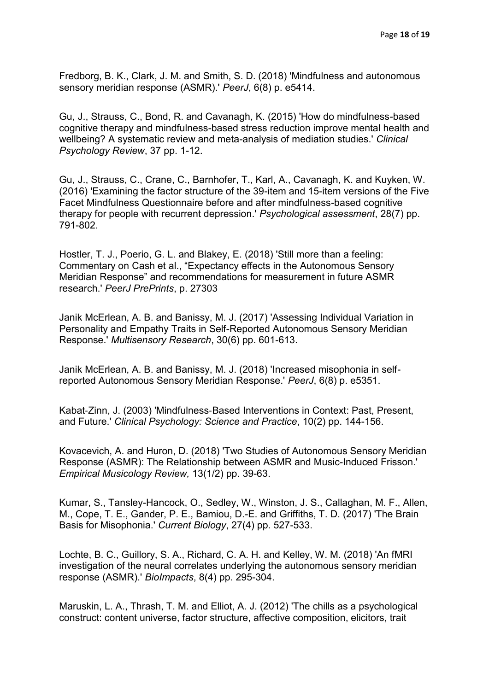Fredborg, B. K., Clark, J. M. and Smith, S. D. (2018) 'Mindfulness and autonomous sensory meridian response (ASMR).' *PeerJ*, 6(8) p. e5414.

Gu, J., Strauss, C., Bond, R. and Cavanagh, K. (2015) 'How do mindfulness-based cognitive therapy and mindfulness-based stress reduction improve mental health and wellbeing? A systematic review and meta-analysis of mediation studies.' *Clinical Psychology Review*, 37 pp. 1-12.

Gu, J., Strauss, C., Crane, C., Barnhofer, T., Karl, A., Cavanagh, K. and Kuyken, W. (2016) 'Examining the factor structure of the 39-item and 15-item versions of the Five Facet Mindfulness Questionnaire before and after mindfulness-based cognitive therapy for people with recurrent depression.' *Psychological assessment*, 28(7) pp. 791-802.

Hostler, T. J., Poerio, G. L. and Blakey, E. (2018) 'Still more than a feeling: Commentary on Cash et al., "Expectancy effects in the Autonomous Sensory Meridian Response" and recommendations for measurement in future ASMR research.' *PeerJ PrePrints*, p. 27303

Janik McErlean, A. B. and Banissy, M. J. (2017) 'Assessing Individual Variation in Personality and Empathy Traits in Self-Reported Autonomous Sensory Meridian Response.' *Multisensory Research*, 30(6) pp. 601-613.

Janik McErlean, A. B. and Banissy, M. J. (2018) 'Increased misophonia in selfreported Autonomous Sensory Meridian Response.' *PeerJ*, 6(8) p. e5351.

Kabat‐Zinn, J. (2003) 'Mindfulness‐Based Interventions in Context: Past, Present, and Future.' *Clinical Psychology: Science and Practice*, 10(2) pp. 144-156.

Kovacevich, A. and Huron, D. (2018) 'Two Studies of Autonomous Sensory Meridian Response (ASMR): The Relationship between ASMR and Music-Induced Frisson.' *Empirical Musicology Review,* 13(1/2) pp. 39-63.

Kumar, S., Tansley-Hancock, O., Sedley, W., Winston, J. S., Callaghan, M. F., Allen, M., Cope, T. E., Gander, P. E., Bamiou, D.-E. and Griffiths, T. D. (2017) 'The Brain Basis for Misophonia.' *Current Biology*, 27(4) pp. 527-533.

Lochte, B. C., Guillory, S. A., Richard, C. A. H. and Kelley, W. M. (2018) 'An fMRI investigation of the neural correlates underlying the autonomous sensory meridian response (ASMR).' *BioImpacts*, 8(4) pp. 295-304.

Maruskin, L. A., Thrash, T. M. and Elliot, A. J. (2012) 'The chills as a psychological construct: content universe, factor structure, affective composition, elicitors, trait